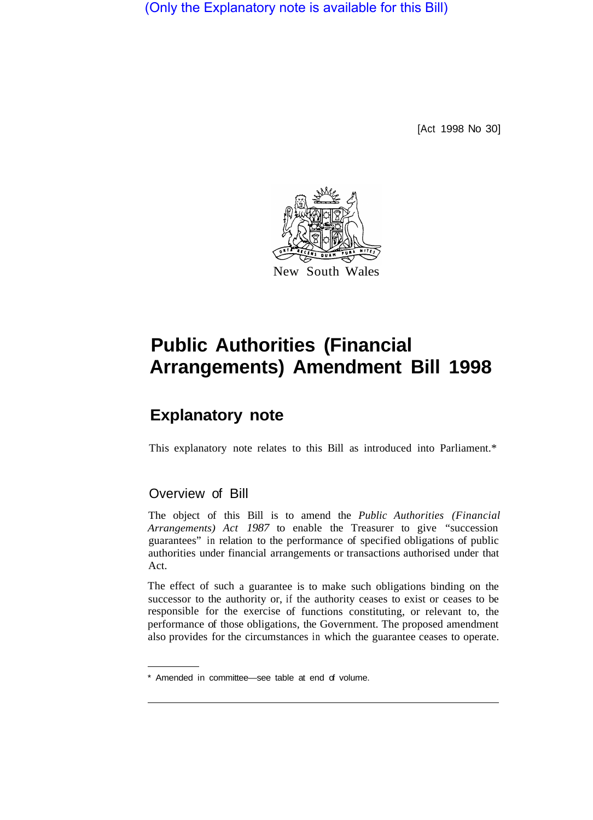(Only the Explanatory note is available for this Bill)

[Act 1998 No 30]



## **Public Authorities (Financial Arrangements) Amendment Bill 1998**

## **Explanatory note**

This explanatory note relates to this Bill as introduced into Parliament.\*

## Overview of Bill

The object of this Bill is to amend the *Public Authorities (Financial Arrangements) Act 1987* to enable the Treasurer to give "succession guarantees" in relation to the performance of specified obligations of public authorities under financial arrangements or transactions authorised under that Act.

The effect of such a guarantee is to make such obligations binding on the successor to the authority or, if the authority ceases to exist or ceases to be responsible for the exercise of functions constituting, or relevant to, the performance of those obligations, the Government. The proposed amendment also provides for the circumstances in which the guarantee ceases to operate.

<sup>\*</sup> Amended in committee—see table at end of volume.